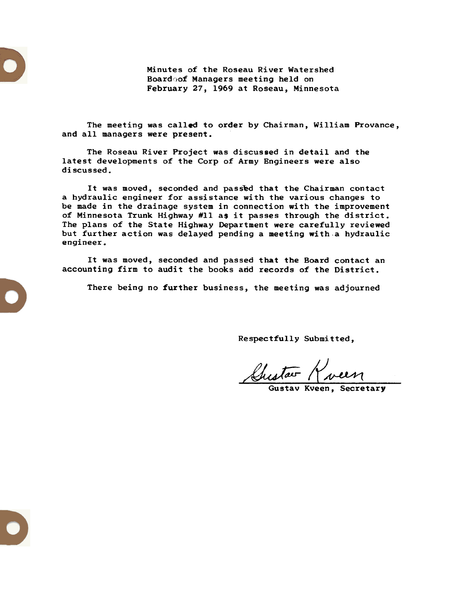Minutes of the Roseau River Watershed Boardoof Managers meeting held on February 27,1969 at Roseau, Minnesota

The meeting was called to order by Chairman, William Provance, and all managers were present.

The Roseau River Project was discussed in detail and the latest developments of the Corp of Army Engineers were also discussed.

It was moved, seconded and passed that the Chairman contact a hydraulic engineer for assistance with the various changes to be made in the drainage system in connection with the improvement of Minnesota Trunk Highway #11 as it passes through the district. The plans of the State Highway Department were carefully reviewed but further action was delayed pending a meeting with.a hydraulic engineer.

It was moved, seconded and passed that the Board contact an accounting firm to audit the books and records of the District.

There being no further business, the meeting was adjourned

Chestar 1

Secretary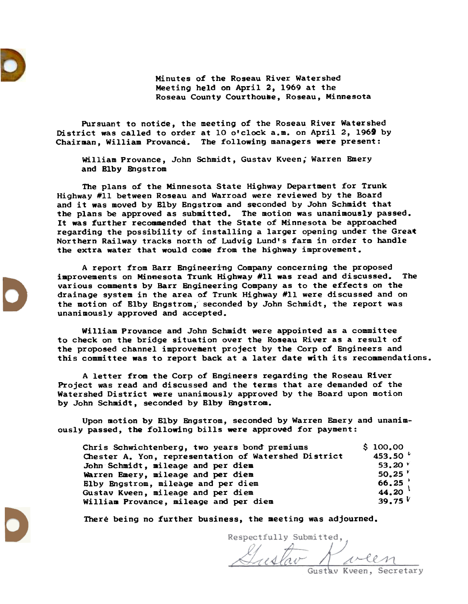

Minutes of the Roseau River Watershed Meeting held on April 2,1969 at the Roseau County Courthouse, Roseau, Minnesota

Pursuant to notice, the meeting of the Roseau River Watershed District was called to order at 10 o'clock a.m. on April 2, 1969 by Chairman, William Provance. The following managers were present:

William Provance, John Schmidt, Gustav Kveen; Warren Emery and Elby Engstrom

The plans of the Minnesota State Highway Department for Trunk Highway #11 between Roseau and Warroad were reviewed by the Board and it was moved by Blby Engstrom and seconded by John Schmidt that the plans be approved as submitted. The motion was unanimously passed. It was further recommended that the State of Minnesota be approached regarding the possibility of installing a larger opening under the Great Northern Railway tracks north of Ludvig Lund's farm in order to handle the extra water that would come from the highway improvement.

A report from Barr Bngineeri'ng Company concerning the proposed iaprovements on Minnesota Trunk Highway #11 was read and discussed. The various comments by Barr Engineering Company as to the effects on the drainage system in the area of Trunk Highway #11 were discussed and on the motion of Elby Engstrom, seconded by John Schmidt, the report was unanimously approved and accepted.

William Provance and John Schmidt were appointed as a committee to check on the bridge situation over the Roseau River as a result of the proposed channel improvement project by the Corp of Engineers and this committee was to report back at a later date with its recommendations.

A letter from the Corp of Engineers regarding the Roseau River Project was read and discussed and the terms that are demanded of the Watershed District were unanimously approved by the Board upon motion by John Schmidt, seconded by Elby Bngstrom.

Upon motion by Elby Engstrom, seconded by Warren Emery and unanimously passed, the following bills were approved for payment:

| Chris Schwichtenberg, two years bond premiums        | \$100.00           |
|------------------------------------------------------|--------------------|
| Chester A. Yon, representation of Watershed District | 453.50 $^{\prime}$ |
| John Schmidt, mileage and per diem                   | 53.20 $^{v}$       |
| Warren Emery, mileage and per diem                   | 50.25              |
| Elby Engstrom, mileage and per diem                  | $66.25$<br>44.20   |
| Gustav Kveen, mileage and per diem                   |                    |
| William Provance, mileage and per diem               | 39.75 $V$          |

There being no further business, the meeting was adjourned.

Respectfully Submitted, Gustav Rueen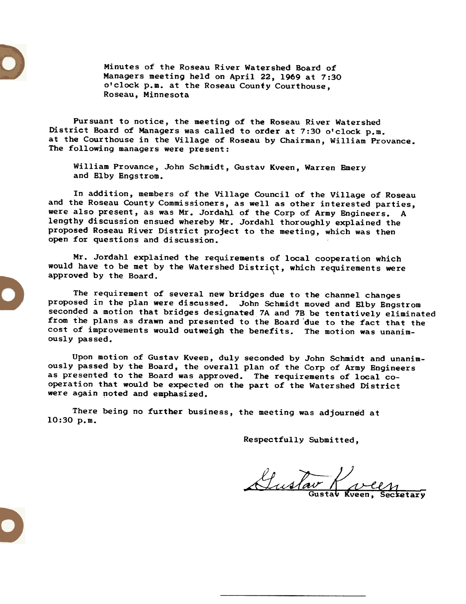Minutes of the Roseau River Watershed Board of Managers meeting held on April 22, 1969 at 7:30 o'clock p.m. at the Roseau County Courthouse, Roseau, Minnesota

Pursuant to notice, the meeting of the Roseau River Watershed Distriet Board of Managers was called to order qt 7:30 o'clock p.m. at the Courthouse in the Village of Roseau by Chairman, William Provance. The following managers were present:

William Provance, John Schmidt, Gustav Kveen, Warren Emery and Elby Engstrom.

In addition, members of the Village Council of the Village of Roseau and the Roseau County Commissioners, as well as other interested parties, were also present, as was Mr. Jordahl of the Corp of Army Engineers. A lengthy discussion ensued whereby Mr. Jordahl thoroughly explained the proposed Roseau River District project to the meeting, which was then open for questions and discussion.

Mr. Jordahl explained the requirements of local cooperation which would have to be met by the Watershed District, which requirements were approved by the Board.

The requirement of several new bridges due to the channel changes proposed in the plan were discussed. John Schmidt moved and Elby Engstrom seconded a motion that bridges designated 7A and 7B be tentatively eliminated from the plans as drawn and presented to the Board "due to the fact that the cost of improvements would outweigh the benefits. The motion was unanimously passed.

Upon motion of Gustav Kveen, duly seconded by John Schmidt and unanimously passed by the Board, the overall plan of the Corp of Army Engineers as presented to the Board was approved. The requirements of local cooperation that would be expected on the part of the Watershed District were again noted and emphasized.

There being no further business, the meeting was adjourned at 10:30 p.m.

 $H_{1.4}$  Pair Guslav Rveen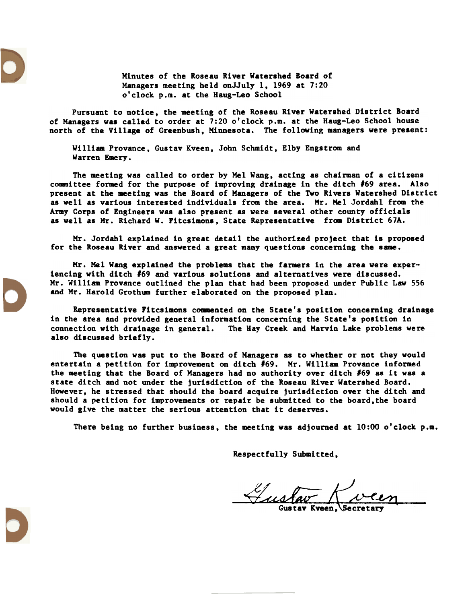Minutes of the Roseau River Watershed Board of Managers meeting held onJJuly 1, 1969 at 7:20 o'clock p.m. at the Haug-Leo School

Pursuant to notice, the meeting of the Roseau River Watershed District Board of Managers was called to order at 7:20 o'clock p.m. at the Haug-Leo School house north of the Village of Greenbush, Minnesota. The following managers were present:

William Provance, Gustav Kveen, John Schmidt, Elby Engstrom and Warren Emery.

The meeting was called to order by Mel Wang, acting as chairman of a citizens committee formed for the purpose of improving drainage in the ditch #69 area. Also present at the meeting was the Board of Managers of the Two Rivers Watershed District as well aa various interested individuals from the area. Mr. Mel Jordahl from the Army Corps of Engineers was also present as were several other county officials as well as Mr. Richard W. Fitcsimons, State Representative from District 67A.

Mr. Jordahl explained in great detail the authorized project that is proposed for the Roseau River and answered a great many questions concerning the same.

Mr. Mel Wang explained the problems that the farmers in the area were experiencing with ditch #69 and various 8olutions and alternatives were discussed. Mr. William Provance outlined the plan that had been proposed under Public Law 556 and Mr. Harold Grothum further elaborated on the proposed plan.

Representative Fitcsimons commented on the State's position concerning drainage in the area and provided general information concerning the State's position in connection with drainage in general. The Hay Creek and Marvin Lake problema were also discussed briefly.

The question was put to the Board of Managers as to whether or not they would entertain a petition for improvement on ditch #69. Mr. William Provance informed the meeting that the Board of Managers had no authority over ditch #69 as it was a state ditch and not under the jurisdiction of the Roseau River Watershed Board. However, he stressed that should the board acquire jurisdiction over the ditch and should a petition for improvements or repair be submitted to the board, the board would give the matter the serious attention that it deserves.

There being no further business, the meeting was adjourned at  $10:00$  o'clock p.m.

 $%$ ustav



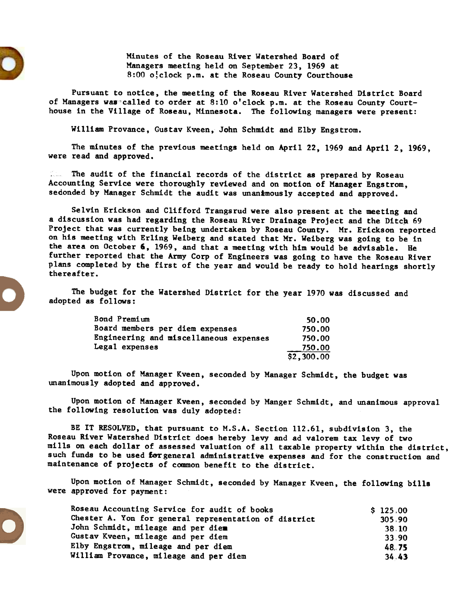Minutes of the Roseau River Watershed Board of Managers meeting held on September 23, 1969 at 8:00 o; clock p.m. at the Roseau County Courthouse

Pursuant to notice, the meeting of the Roseau River Watershed District Board of Managers was~called to order at 8:10 o'clock p.m. at the Roseau County Courthouse in the Village of Roseau, Minnesota. The following managers were present:

William Provance, Gustav Kveen, John Schmidt and Elby Engstrom.

The minutes of the previous meetings held on April 22 ,1969 and April 2, 1969, were read and approved.

The audit of the financial records of the district as prepared by Roseau Accounting Service were thoroughly reviewed and on motion of Manager Engstrom, sedonded by Manager Schmidt the audit was unanimously accepted and approved.

Selvin Eridkson and Clifford Trangsrud were also present at the meeting and a discussion was had regarding the Roseau River Drainage Project and the Ditch 69 Project that was currently being undertaken by Roseau County. Mr. Erickson reported on his meeting with Erling Weiberg and stated that Mr. Weiberg was going to be in the area on October 6,1969, and that a meeting with him would be advisable. He further reported that the Army Corp of Engineers was going to have the Roseau River plans completed by the first of the year and would be ready to hold hearings shortly thereafter.

The budget for the Watershed District for the year 1970 was discussed and adopted as follows:

| <b>Bond Premium</b>                    | 50.00      |
|----------------------------------------|------------|
| Board members per diem expenses        | 750.00     |
| Engineering and miscellaneous expenses | 750.00     |
| <b>Legal expenses</b>                  | 750.00     |
|                                        | \$2,300.00 |

Upon motion of Manager Kveen, seconded by Manager Schmidt, the budget was unanimously adopted and approved.

Upon motion of Manager Kveen, seconded by Manger Schmidt, and unanimous approval the following resolution was duly adopted:

BE IT RESOLVED, that pursuant to M.S.A. Section 112.61, subdivision 3, the Roseau River Watershed District does hereby levy and ad valorem tax levy of two mills on each dollar of assessed valuation of all taxable property within the district, such funds to be used for general administrative expenses and for the construction and maintenance of projects of common benefit to the district.

Upon motion of Manager Schmidt. seconded by Manager Kveen. the following bills were approved for payment:

| Roseau Accounting Service for audit of books          | \$125.00 |
|-------------------------------------------------------|----------|
| Chester A. Yon for general representation of district | 305.90   |
| John Schmidt, mileage and per diem                    | 38.10    |
| Gustav Kveen, mileage and per diem                    | 33.90    |
| Elby Engstrom, mileage and per diem                   | 48.75    |
| William Provance, mileage and per diem                | 34 43    |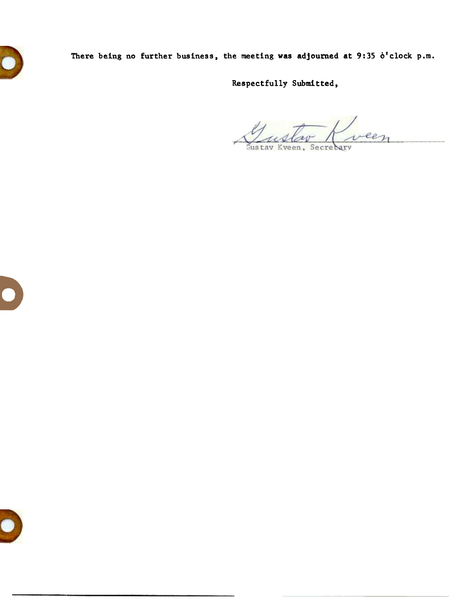

There being no further business, the meeting was adjourned at 9:35  $\phi'$  clock p.m.

reen Gustav Kveen, Secrebary